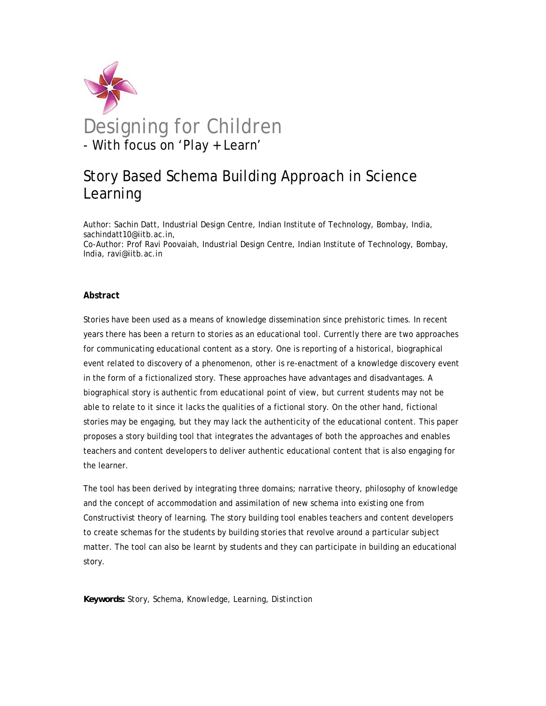

# Story Based Schema Building Approach in Science Learning

Author: Sachin Datt, Industrial Design Centre, Indian Institute of Technology, Bombay, India, sachindatt10@iitb.ac.in, Co-Author: Prof Ravi Poovaiah, Industrial Design Centre, Indian Institute of Technology, Bombay, India, ravi@iitb.ac.in

## **Abstract**

Stories have been used as a means of knowledge dissemination since prehistoric times. In recent years there has been a return to stories as an educational tool. Currently there are two approaches for communicating educational content as a story. One is reporting of a historical, biographical event related to discovery of a phenomenon, other is re-enactment of a knowledge discovery event in the form of a fictionalized story. These approaches have advantages and disadvantages. A biographical story is authentic from educational point of view, but current students may not be able to relate to it since it lacks the qualities of a fictional story. On the other hand, fictional stories may be engaging, but they may lack the authenticity of the educational content. This paper proposes a story building tool that integrates the advantages of both the approaches and enables teachers and content developers to deliver authentic educational content that is also engaging for the learner.

The tool has been derived by integrating three domains; narrative theory, philosophy of knowledge and the concept of accommodation and assimilation of new schema into existing one from Constructivist theory of learning. The story building tool enables teachers and content developers to create schemas for the students by building stories that revolve around a particular subject matter. The tool can also be learnt by students and they can participate in building an educational story.

*Keywords: Story, Schema, Knowledge, Learning, Distinction*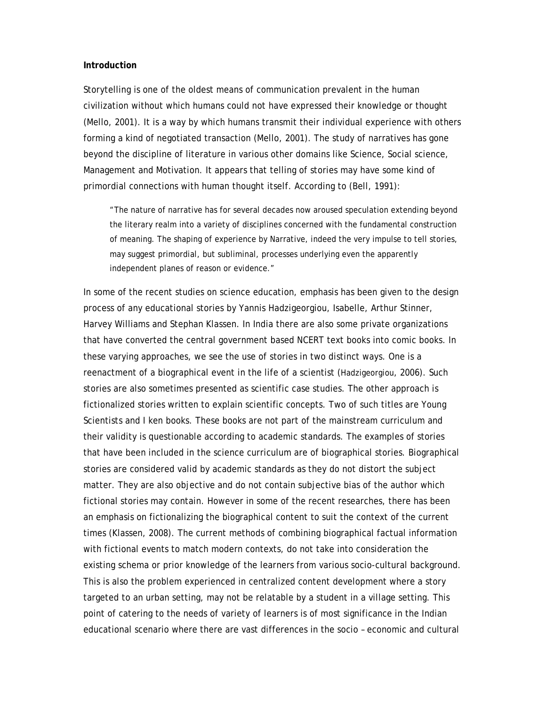#### **Introduction**

Storytelling is one of the oldest means of communication prevalent in the human civilization without which humans could not have expressed their knowledge or thought (Mello, 2001). It is a way by which humans transmit their individual experience with others forming a kind of negotiated transaction (Mello, 2001). The study of narratives has gone beyond the discipline of literature in various other domains like Science, Social science, Management and Motivation. It appears that telling of stories may have some kind of primordial connections with human thought itself. According to (Bell, 1991):

"The nature of narrative has for several decades now aroused speculation extending beyond the literary realm into a variety of disciplines concerned with the fundamental construction of meaning. The shaping of experience by Narrative, indeed the very impulse to tell stories, may suggest primordial, but subliminal, processes underlying even the apparently independent planes of reason or evidence."

In some of the recent studies on science education, emphasis has been given to the design process of any educational stories by Yannis Hadzigeorgiou, Isabelle, Arthur Stinner, Harvey Williams and Stephan Klassen. In India there are also some private organizations that have converted the central government based NCERT text books into comic books. In these varying approaches, we see the use of stories in two distinct ways. One is a reenactment of a biographical event in the life of a scientist (Hadzigeorgiou, 2006). Such stories are also sometimes presented as scientific case studies. The other approach is fictionalized stories written to explain scientific concepts. Two of such titles are Young Scientists and I ken books. These books are not part of the mainstream curriculum and their validity is questionable according to academic standards. The examples of stories that have been included in the science curriculum are of biographical stories. Biographical stories are considered valid by academic standards as they do not distort the subject matter. They are also objective and do not contain subjective bias of the author which fictional stories may contain. However in some of the recent researches, there has been an emphasis on fictionalizing the biographical content to suit the context of the current times (Klassen, 2008). The current methods of combining biographical factual information with fictional events to match modern contexts, do not take into consideration the existing schema or prior knowledge of the learners from various socio-cultural background. This is also the problem experienced in centralized content development where a story targeted to an urban setting, may not be relatable by a student in a village setting. This point of catering to the needs of variety of learners is of most significance in the Indian educational scenario where there are vast differences in the socio – economic and cultural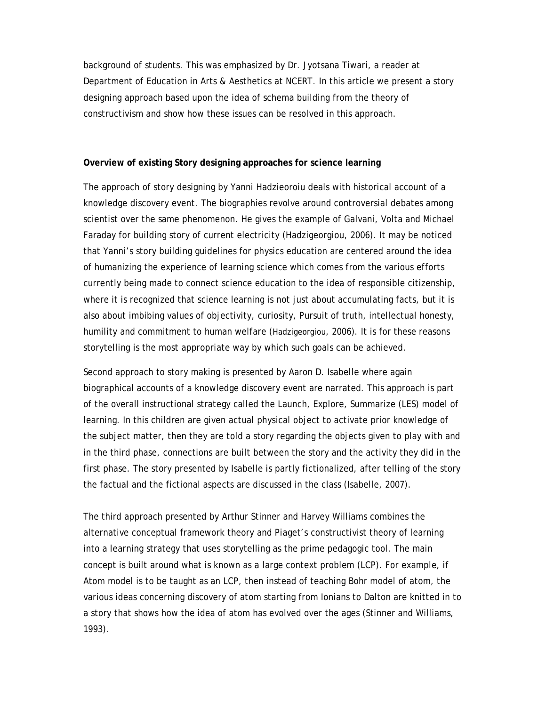background of students. This was emphasized by Dr. Jyotsana Tiwari, a reader at Department of Education in Arts & Aesthetics at NCERT. In this article we present a story designing approach based upon the idea of schema building from the theory of constructivism and show how these issues can be resolved in this approach.

#### **Overview of existing Story designing approaches for science learning**

The approach of story designing by Yanni Hadzieoroiu deals with historical account of a knowledge discovery event. The biographies revolve around controversial debates among scientist over the same phenomenon. He gives the example of Galvani, Volta and Michael Faraday for building story of current electricity (Hadzigeorgiou, 2006). It may be noticed that Yanni's story building guidelines for physics education are centered around the idea of humanizing the experience of learning science which comes from the various efforts currently being made to connect science education to the idea of responsible citizenship, where it is recognized that science learning is not just about accumulating facts, but it is also about imbibing values of objectivity, curiosity, Pursuit of truth, intellectual honesty, humility and commitment to human welfare (Hadzigeorgiou, 2006). It is for these reasons storytelling is the most appropriate way by which such goals can be achieved.

Second approach to story making is presented by Aaron D. Isabelle where again biographical accounts of a knowledge discovery event are narrated. This approach is part of the overall instructional strategy called the Launch, Explore, Summarize (LES) model of learning. In this children are given actual physical object to activate prior knowledge of the subject matter, then they are told a story regarding the objects given to play with and in the third phase, connections are built between the story and the activity they did in the first phase. The story presented by Isabelle is partly fictionalized, after telling of the story the factual and the fictional aspects are discussed in the class (Isabelle, 2007).

The third approach presented by Arthur Stinner and Harvey Williams combines the alternative conceptual framework theory and Piaget's constructivist theory of learning into a learning strategy that uses storytelling as the prime pedagogic tool. The main concept is built around what is known as a large context problem (LCP). For example, if Atom model is to be taught as an LCP, then instead of teaching Bohr model of atom, the various ideas concerning discovery of atom starting from Ionians to Dalton are knitted in to a story that shows how the idea of atom has evolved over the ages (Stinner and Williams, 1993).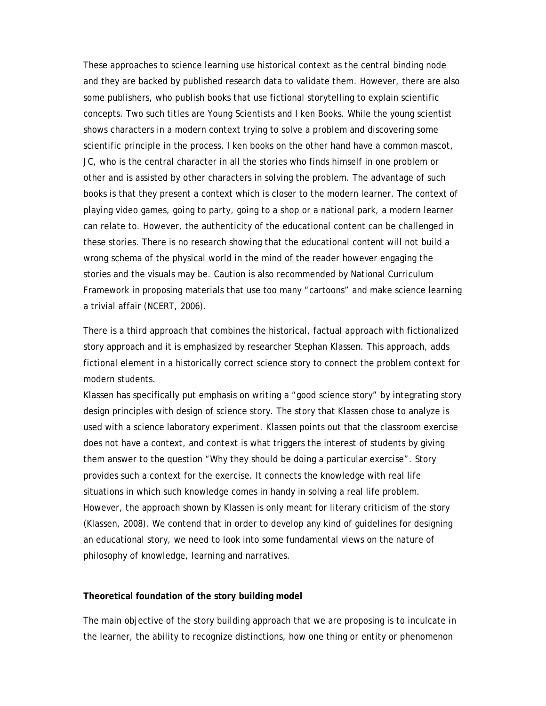These approaches to science learning use historical context as the central binding node and they are backed by published research data to validate them. However, there are also some publishers, who publish books that use fictional storytelling to explain scientific concepts. Two such titles are Young Scientists and I ken Books. While the young scientist shows characters in a modern context trying to solve a problem and discovering some scientific principle in the process, I ken books on the other hand have a common mascot, JC, who is the central character in all the stories who finds himself in one problem or other and is assisted by other characters in solving the problem. The advantage of such books is that they present a context which is closer to the modern learner. The context of playing video games, going to party, going to a shop or a national park, a modern learner can relate to. However, the authenticity of the educational content can be challenged in these stories. There is no research showing that the educational content will not build a wrong schema of the physical world in the mind of the reader however engaging the stories and the visuals may be. Caution is also recommended by National Curriculum Framework in proposing materials that use too many "cartoons" and make science learning a trivial affair (NCERT, 2006).

There is a third approach that combines the historical, factual approach with fictionalized story approach and it is emphasized by researcher Stephan Klassen. This approach, adds fictional element in a historically correct science story to connect the problem context for modern students.

Klassen has specifically put emphasis on writing a "good science story" by integrating story design principles with design of science story. The story that Klassen chose to analyze is used with a science laboratory experiment. Klassen points out that the classroom exercise does not have a context, and context is what triggers the interest of students by giving them answer to the question "Why they should be doing a particular exercise". Story provides such a context for the exercise. It connects the knowledge with real life situations in which such knowledge comes in handy in solving a real life problem. However, the approach shown by Klassen is only meant for literary criticism of the story (Klassen, 2008). We contend that in order to develop any kind of guidelines for designing an educational story, we need to look into some fundamental views on the nature of philosophy of knowledge, learning and narratives.

## **Theoretical foundation of the story building model**

The main objective of the story building approach that we are proposing is to inculcate in the learner, the ability to recognize distinctions, how one thing or entity or phenomenon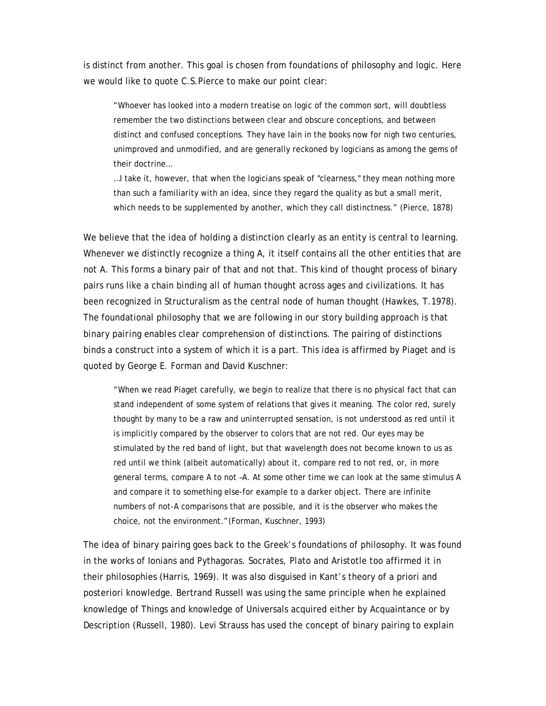is distinct from another. This goal is chosen from foundations of philosophy and logic. Here we would like to quote C.S.Pierce to make our point clear:

"Whoever has looked into a modern treatise on logic of the common sort, will doubtless remember the two distinctions between clear and obscure conceptions, and between distinct and confused conceptions. They have lain in the books now for nigh two centuries, unimproved and unmodified, and are generally reckoned by logicians as among the gems of their doctrine…

…I take it, however, that when the logicians speak of "clearness," they mean nothing more than such a familiarity with an idea, since they regard the quality as but a small merit, which needs to be supplemented by another, which they call distinctness." (Pierce, 1878)

We believe that the idea of holding a distinction clearly as an entity is central to learning. Whenever we distinctly recognize a thing A, it itself contains all the other entities that are not A. This forms a binary pair of that and not that. This kind of thought process of binary pairs runs like a chain binding all of human thought across ages and civilizations. It has been recognized in Structuralism as the central node of human thought (Hawkes, T.1978). The foundational philosophy that we are following in our story building approach is that *binary pairing enables clear comprehension of distinctions.* The pairing of distinctions binds a construct into a system of which it is a part. This idea is affirmed by Piaget and is quoted by George E. Forman and David Kuschner:

"When we read Piaget carefully, we begin to realize that there is no physical fact that can stand independent of some system of relations that gives it meaning. The color red, surely thought by many to be a raw and uninterrupted sensation, is not understood as red until it is implicitly compared by the observer to colors that are not red. Our eyes may be stimulated by the red band of light, but that wavelength does not become known to us as red until we think (albeit automatically) about it, compare red to not red, or, in more general terms, compare A to not –A. At some other time we can look at the same stimulus A and compare it to something else-for example to a darker object. There are infinite numbers of not-A comparisons that are possible, and it is the observer who makes the choice, not the environment."(Forman, Kuschner, 1993)

The idea of binary pairing goes back to the Greek's foundations of philosophy. It was found in the works of Ionians and Pythagoras. Socrates, Plato and Aristotle too affirmed it in their philosophies (Harris, 1969). It was also disguised in Kant's theory of a priori and posteriori knowledge. Bertrand Russell was using the same principle when he explained knowledge of Things and knowledge of Universals acquired either by Acquaintance or by Description (Russell, 1980). Levi Strauss has used the concept of binary pairing to explain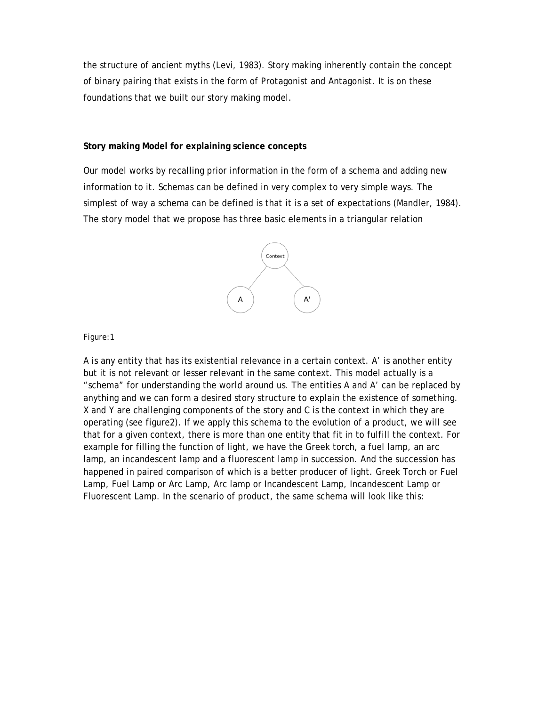the structure of ancient myths (Levi, 1983). Story making inherently contain the concept of binary pairing that exists in the form of Protagonist and Antagonist. It is on these foundations that we built our story making model.

# **Story making Model for explaining science concepts**

Our model works by recalling prior information in the form of a schema and adding new information to it. Schemas can be defined in very complex to very simple ways. The simplest of way a schema can be defined is that it is a set of expectations (Mandler, 1984). The story model that we propose has three basic elements in a triangular relation



Figure:1

A is any entity that has its existential relevance in a certain context. A' is another entity but it is not relevant or lesser relevant in the same context. This model actually is a "schema" for understanding the world around us. The entities A and A' can be replaced by anything and we can form a desired story structure to explain the existence of something. X and Y are challenging components of the story and C is the context in which they are operating (see figure2). If we apply this schema to the evolution of a product, we will see that for a given context, there is more than one entity that fit in to fulfill the context. For example for filling the function of light, we have the Greek torch, a fuel lamp, an arc lamp, an incandescent lamp and a fluorescent lamp in succession. And the succession has happened in paired comparison of which is a better producer of light. Greek Torch or Fuel Lamp, Fuel Lamp or Arc Lamp, Arc lamp or Incandescent Lamp, Incandescent Lamp or Fluorescent Lamp. In the scenario of product, the same schema will look like this: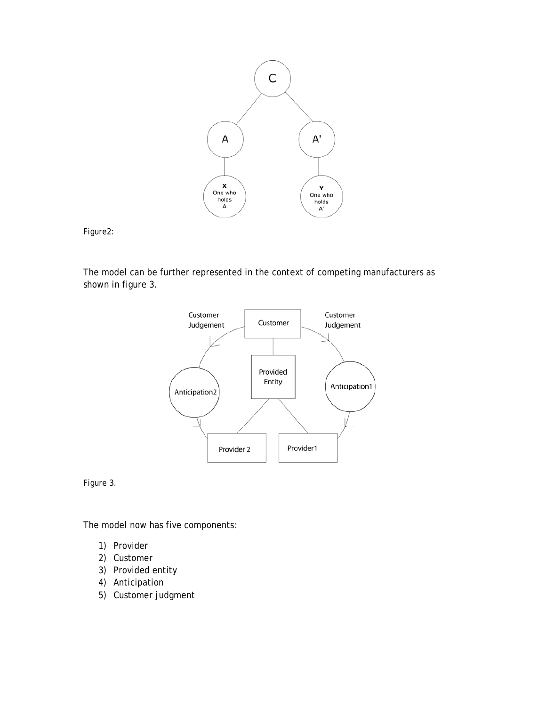

Figure2:

The model can be further represented in the context of competing manufacturers as shown in figure 3.



Figure 3.

The model now has five components:

- 1) Provider
- 2) Customer
- 3) Provided entity
- 4) Anticipation
- 5) Customer judgment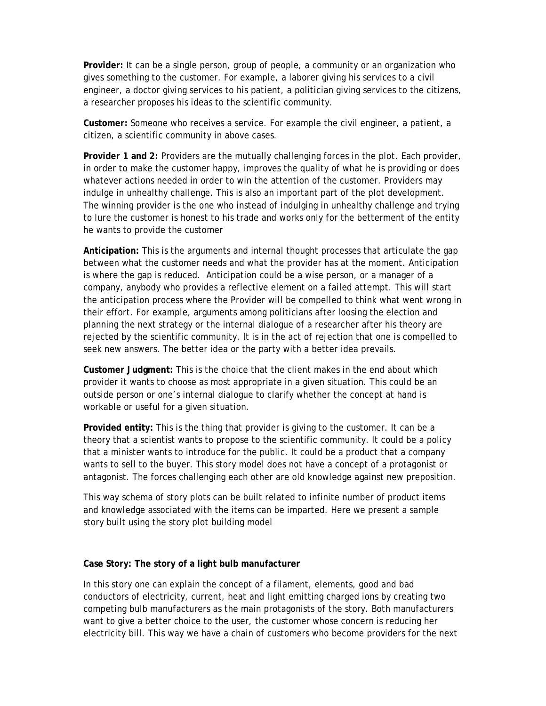**Provider:** It can be a single person, group of people, a community or an organization who gives something to the customer. For example, a laborer giving his services to a civil engineer, a doctor giving services to his patient, a politician giving services to the citizens, a researcher proposes his ideas to the scientific community.

**Customer:** Someone who receives a service. For example the civil engineer, a patient, a citizen, a scientific community in above cases.

**Provider 1 and 2:** Providers are the mutually challenging forces in the plot. Each provider, in order to make the customer happy, improves the quality of what he is providing or does whatever actions needed in order to win the attention of the customer. Providers may indulge in unhealthy challenge. This is also an important part of the plot development. The winning provider is the one who instead of indulging in unhealthy challenge and trying to lure the customer is honest to his trade and works only for the betterment of the entity he wants to provide the customer

**Anticipation:** This is the arguments and internal thought processes that articulate the gap between what the customer needs and what the provider has at the moment. Anticipation is where the gap is reduced. Anticipation could be a wise person, or a manager of a company, anybody who provides a reflective element on a failed attempt. This will start the anticipation process where the Provider will be compelled to think what went wrong in their effort. For example, arguments among politicians after loosing the election and planning the next strategy or the internal dialogue of a researcher after his theory are rejected by the scientific community. It is in the act of rejection that one is compelled to seek new answers. The better idea or the party with a better idea prevails.

**Customer Judgment:** This is the choice that the client makes in the end about which provider it wants to choose as most appropriate in a given situation. This could be an outside person or one's internal dialogue to clarify whether the concept at hand is workable or useful for a given situation.

**Provided entity:** This is the thing that provider is giving to the customer. It can be a theory that a scientist wants to propose to the scientific community. It could be a policy that a minister wants to introduce for the public. It could be a product that a company wants to sell to the buyer. This story model does not have a concept of a protagonist or antagonist. The forces challenging each other are old knowledge against new preposition.

This way schema of story plots can be built related to infinite number of product items and knowledge associated with the items can be imparted. Here we present a sample story built using the story plot building model

## **Case Story: The story of a light bulb manufacturer**

In this story one can explain the concept of a filament, elements, good and bad conductors of electricity, current, heat and light emitting charged ions by creating two competing bulb manufacturers as the main protagonists of the story. Both manufacturers want to give a better choice to the user, the customer whose concern is reducing her electricity bill. This way we have a chain of customers who become providers for the next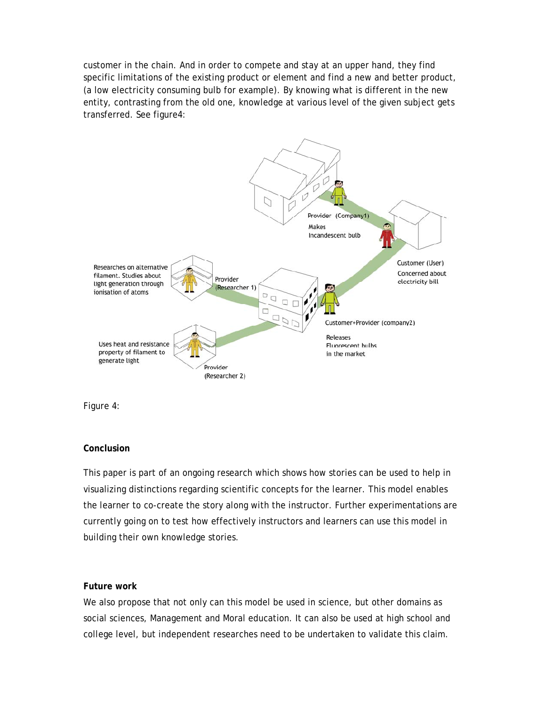customer in the chain. And in order to compete and stay at an upper hand, they find specific limitations of the existing product or element and find a new and better product, (a low electricity consuming bulb for example). By knowing what is different in the new entity, contrasting from the old one, knowledge at various level of the given subject gets transferred. See figure4:



Figure 4:

## **Conclusion**

This paper is part of an ongoing research which shows how stories can be used to help in visualizing distinctions regarding scientific concepts for the learner. This model enables the learner to co-create the story along with the instructor. Further experimentations are currently going on to test how effectively instructors and learners can use this model in building their own knowledge stories.

## **Future work**

We also propose that not only can this model be used in science, but other domains as social sciences, Management and Moral education. It can also be used at high school and college level, but independent researches need to be undertaken to validate this claim.